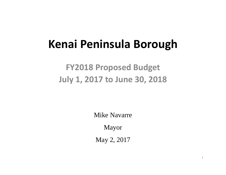# **Kenai Peninsula Borough**

# **FY2018 Proposed Budget July 1, 2017 to June 30, 2018**

Mike Navarre

Mayor

May 2, 2017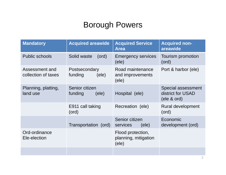## Borough Powers

| <b>Mandatory</b>                      | <b>Acquired areawide</b>           | <b>Acquired Service</b><br><b>Area</b>             | <b>Acquired non-</b><br>areawide                       |
|---------------------------------------|------------------------------------|----------------------------------------------------|--------------------------------------------------------|
| <b>Public schools</b>                 | Solid waste<br>(ord)               | <b>Emergency services</b><br>(ele)                 | Tourism promotion<br>(ord)                             |
| Assessment and<br>collection of taxes | Postsecondary<br>funding<br>(ele)  | Road maintenance<br>and improvements<br>(ele)      | Port & harbor (ele)                                    |
| Planning, platting,<br>land use       | Senior citizen<br>funding<br>(ele) | Hospital (ele)                                     | Special assessment<br>district for USAD<br>(ele & ord) |
|                                       | E911 call taking<br>(ord)          | Recreation (ele)                                   | <b>Rural development</b><br>(ord)                      |
|                                       | Transportation (ord)               | Senior citizen<br>services<br>(ele)                | Economic<br>development (ord)                          |
| Ord-ordinance<br>Ele-election         |                                    | Flood protection,<br>planning, mitigation<br>(ele) |                                                        |
|                                       |                                    |                                                    |                                                        |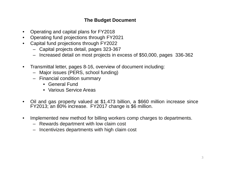#### **The Budget Document**

- $\bullet$ Operating and capital plans for FY2018
- $\bullet$ Operating fund projections through FY2021
- $\bullet$  Capital fund projections through FY2022
	- Capital projects detail, pages 323-367
	- Increased detail on most projects in excess of \$50,000, pages 336-362
- $\bullet$  Transmittal letter, pages 8-16, overview of document including:
	- Major issues (PERS, school funding)
	- Financial condition summary
		- General Fund
		- Various Service Areas
- $\bullet$  Oil and gas property valued at \$1.473 billion, <sup>a</sup> \$660 million increase since FY2013; an 80% increase. FY2017 change is \$6 million.
- $\bullet$  Implemented new method for billing workers comp charges to departments.
	- Rewards department with low claim cost
	- Incentivizes departments with high claim cost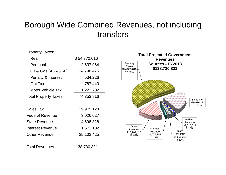## Borough Wide Combined Revenues, not including transfers

Property Taxes:

| Real                 | \$54,372,016 |
|----------------------|--------------|
| Personal             | 2,637,954    |
| Oil & Gas (AS 43.56) | 14,798,475   |
| Penalty & Interest   | 534,226      |
| Flat Tax             | 787,443      |
| Motor Vehicle Tax    | 1,223,702    |
| Total Property Taxes | 74,353,816   |
|                      |              |
| Sales Tax            | 29,979,123   |
| Federal Revenue      | 3,026,027    |
| State Revenue        | 4,698,328    |
| Interest Revenue     | 1,571,102    |
| Other Revenue        | 25,102,425   |
|                      |              |



Total Revenues 138,730,821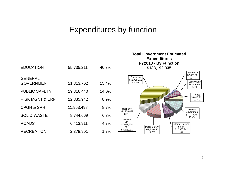### Expenditures by function

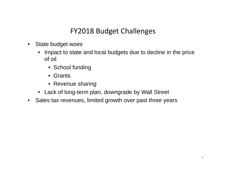### FY2018 Budget Challenges

- $\bullet$  State budget woes
	- $\bullet$  Impact to state and local budgets due to decline in the price of oil
		- School funding
		- Grants
		- Revenue sharing
	- Lack of long-term plan, downgrade by Wall Street
- Sales tax revenues, limited growth over past three years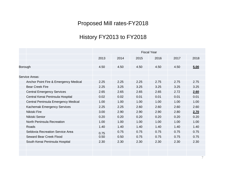#### Proposed Mill rates-FY2018

#### History FY2013 to FY2018

|                                       |      |      |      | <b>Fiscal Year</b> |      |      |
|---------------------------------------|------|------|------|--------------------|------|------|
|                                       | 2013 | 2014 | 2015 | 2016               | 2017 | 2018 |
|                                       |      |      |      |                    |      |      |
| Borough                               | 4.50 | 4.50 | 4.50 | 4.50               | 4.50 | 5.00 |
|                                       |      |      |      |                    |      |      |
| Service Areas:                        |      |      |      |                    |      |      |
| Anchor Point Fire & Emergency Medical | 2.25 | 2.25 | 2.25 | 2.75               | 2.75 | 2.75 |
| <b>Bear Creek Fire</b>                | 2.25 | 3.25 | 3.25 | 3.25               | 3.25 | 3.25 |
| <b>Central Emergency Services</b>     | 2.65 | 2.65 | 2.65 | 2.65               | 2.72 | 2.60 |
| Central Kenai Peninsula Hospital      | 0.02 | 0.02 | 0.01 | 0.01               | 0.01 | 0.01 |
| Central Peninsula Emergency Medical   | 1.00 | 1.00 | 1.00 | 1.00               | 1.00 | 1.00 |
| Kachemak Emergency Services           | 2.25 | 2.25 | 2.60 | 2.60               | 2.60 | 2.60 |
| Nikiski Fire                          | 3.00 | 2.90 | 2.90 | 2.90               | 2.80 | 2.70 |
| Nikiski Senior                        | 0.20 | 0.20 | 0.20 | 0.20               | 0.20 | 0.20 |
| North Peninsula Recreation            | 1.00 | 1.00 | 1.00 | 1.00               | 1.00 | 1.00 |
| Roads                                 | 1.40 | 1.40 | 1.40 | 1.40               | 1.40 | 1.40 |
| Seldovia Recreation Service Area      | 0.75 | 0.75 | 0.75 | 0.75               | 0.75 | 0.75 |
| <b>Seward Bear Creek Flood</b>        | 0.50 | 0.50 | 0.75 | 0.75               | 0.75 | 0.75 |
| South Kenai Peninsula Hospital        | 2.30 | 2.30 | 2.30 | 2.30               | 2.30 | 2.30 |
|                                       |      |      |      |                    |      |      |
|                                       |      |      |      |                    |      |      |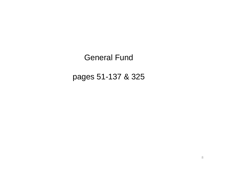### General Fund

## pages 51-137 & 325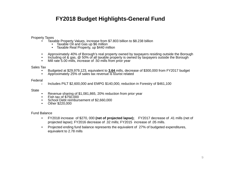#### **FY2018 Budget Highlights-General Fund**

Property Taxes

- • Taxable Property Values, increase from \$7.803 billion to \$8.238 billion
	- Taxable Oil and Gas up \$6 million
	- $\bullet$ Taxable Real Property, up \$440 million
- •Approximately 40% of Borough's real property owned by taxpayers residing outside the Borough
- •Including oil & gas, @ 50% of all taxable property is owned by taxpayers outside the Borough
- •Mill rate 5.00 mills, increase of .50 mills from prior year

Sales Tax

- •Budgeted at \$29,979,123, equivalent to **3.64** mills, decrease of \$300,000 from FY2017 budget
- $\bullet$ Approximately 25% of sales tax revenue is tourist related

**Federal** 

Includes PILT \$2,600,000 and EMPG \$140,000, reduction in Forestry of \$461,100

#### **State**

- $\bullet$ Revenue sharing of \$1,081,865, 20% reduction from prior year
- •Fish tax of \$750,000
- •School Debt reimbursement of \$2,660,000
- •Other \$220,000

Fund Balance

- • FY2018 increase of \$270, 000 **(net of projected lapse);** FY2017 decrease of .41 mills (net of projected lapse); FY2016 decrease of .32 mills; FY2015 increase of .05 mills.
- • Projected ending fund balance represents the equivalent of 27% of budgeted expenditures, equivalent to 2.78 mills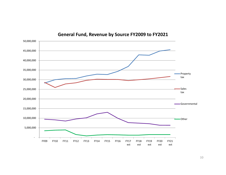

#### **General Fund, Revenue by Source FY2009 to FY2021**

10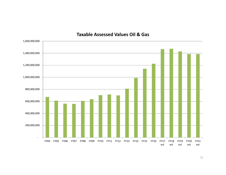#### **Taxable Assessed Values Oil & Gas**

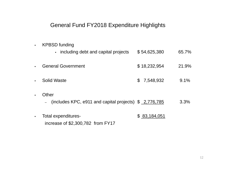### General Fund FY2018 Expenditure Highlights

•KPBSD funding

•

•

•

•

|           | including debt and capital projects<br>$\bullet$                | \$54,625,380                | 65.7% |
|-----------|-----------------------------------------------------------------|-----------------------------|-------|
| $\bullet$ | <b>General Government</b>                                       | \$18,232,954                | 21.9% |
|           | Solid Waste                                                     | 7,548,932<br>$\mathfrak{L}$ | 9.1%  |
|           | Other<br>(includes KPC, e911 and capital projects) $$2,776,785$ |                             | 3.3%  |
|           | Total expenditures-                                             | \$ 83,184,051               |       |

increase of \$2,300,782 from FY17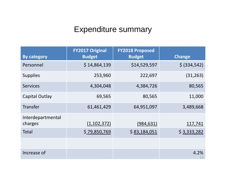## Expenditure summary

| <b>By category</b>           | <b>FY2017 Original</b><br><b>Budget</b> | <b>FY2018 Proposed</b><br><b>Budget</b> | <b>Change</b>  |
|------------------------------|-----------------------------------------|-----------------------------------------|----------------|
| Personnel                    | \$14,864,139                            | \$14,529,597                            | \$ (334, 542)  |
| <b>Supplies</b>              | 253,960                                 | 222,697                                 | (31, 263)      |
| <b>Services</b>              | 4,304,048                               | 4,384,726                               | 80,565         |
| <b>Capital Outlay</b>        | 69,565                                  | 80,565                                  | 11,000         |
| Transfer                     | 61,461,429                              | 64,951,097                              | 3,489,668      |
| Interdepartmental<br>charges | (1, 102, 372)                           | (984, 631)                              | <u>117,741</u> |
| <b>Total</b>                 | \$79,850,769                            | \$83,184,051                            | \$3,333,282    |
|                              |                                         |                                         |                |
| Increase of                  |                                         |                                         | 4.2%<br>13     |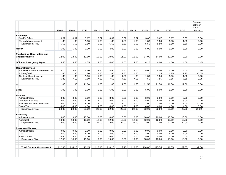|                                                        | <b>FY08</b> | <b>FY09</b> | <b>FY10</b> | <b>FY11</b> | <b>FY12</b> | FY13   | <b>FY14</b> | <b>FY15</b> | <b>FY16</b> | <b>FY17</b> | <b>FY18</b> | Change<br>between<br>FY08 &<br><b>FY18</b> |
|--------------------------------------------------------|-------------|-------------|-------------|-------------|-------------|--------|-------------|-------------|-------------|-------------|-------------|--------------------------------------------|
|                                                        |             |             |             |             |             |        |             |             |             |             |             |                                            |
| <b>Assembly</b>                                        |             |             |             |             |             |        |             |             |             |             |             |                                            |
| Clerk's Office                                         | 3.67        | 3.67        | 3.67        | 3.67        | 3.67        | 3.67   | 3.67        | 3.67        | 3.67        | 3.67        | 3.67        | 0.00                                       |
| Records Management                                     | 1.83        | 1.83        | 1.83        | 1.83        | 1.83        | 1.83   | 1.83        | 1.83        | 1.83        | 1.83        | 1.83        | 0.00                                       |
| <b>Department Total</b>                                | 5.50        | 5.50        | 5.50        | 5.50        | 5.50        | 5.50   | 5.50        | 5.50        | 5.50        | 5.50        | 5.50        | 0.00                                       |
| <b>Mayor</b>                                           | 6.00        | 6.00        | 6.00        | 5.00        | 4.00        | 5.00   | 5.00        | 5.00        | 6.00        | 6.00        | 5.00        | $-1.00$                                    |
|                                                        |             |             |             |             |             |        |             |             |             |             |             |                                            |
| Purchasing, Contracting and<br><b>Capital Projects</b> | 12.00       | 13.00       | 12.50       | 10.50       | 10.00       | 11.00  | 12.00       | 14.00       | 14.00       | 10.00       | 9.00        | $-3.00$                                    |
| <b>Office of Emergency Mgmt</b>                        | 3.55        | 3.55        | 4.55        | 4.55        | 4.00        | 4.00   | 4.25        | 4.25        | 4.00        | 4.00        | 4.00        | 0.45                                       |
| <b>General Services</b>                                |             |             |             |             |             |        |             |             |             |             |             |                                            |
| Administration/Human Resources                         | 3.70        | 4.00        | 4.50        | 4.50        | 4.50        | 4.50   | 5.00        | 5.00        | 5.00        | 5.00        | 5.00        | 1.30                                       |
| Printing/Mail                                          | 1.80        | 1.80        | 1.80        | 1.80        | 1.80        | 1.80   | 1.25        | 1.25        | 1.25        | 1.25        | 1.25        | $-0.55$                                    |
| <b>Custodial Maintenance</b>                           | 1.30        | 1.30        | 1.30        | 1.30        | 1.30        | 1.30   | 1.30        | 1.30        | 1.30        | 1.30        | 1.30        | 0.00                                       |
| Department Total                                       | 6.80        | 7.10        | 7.60        | 7.60        | 7.60        | 7.60   | 7.55        | 7.55        | 7.55        | 7.55        | 7.55        | 0.75                                       |
|                                                        |             |             |             |             |             |        |             |             |             |             |             |                                            |
| <b>IT</b>                                              | 11.00       | 11.00       | 11.00       | 11.00       | 11.00       | 11.00  | 11.50       | 11.50       | 11.50       | 11.50       | 11.50       | 0.50                                       |
| Legal                                                  | 5.00        | 5.00        | 5.00        | 5.00        | 5.00        | 5.00   | 5.00        | 5.00        | 5.00        | 5.00        | 5.00        | 0.00                                       |
| <b>Finance</b>                                         |             |             |             |             |             |        |             |             |             |             |             |                                            |
| Administration                                         | 3.00        | 3.00        | 3.00        | 3.00        | 3.00        | 3.00   | 3.00        | 3.00        | 3.00        | 3.00        | 3.00        | 0.00                                       |
| <b>Financial Services</b>                              | 8.00        | 8.00        | 8.00        | 8.00        | 8.00        | 8.00   | 8.00        | 8.00        | 8.00        | 8.00        | 8.00        | 0.00                                       |
| Property Tax and Collections                           | 8.00        | 8.00        | 8.00        | 8.00        | 7.00        | 7.00   | 7.00        | 7.00        | 7.00        | 7.00        | 7.00        | $-1.00$                                    |
| Sales Tax                                              | 4.00        | 4.00        | 4.00        | 4.00        | 4.00        | 4.00   | 4.00        | 4.00        | 4.00        | 4.00        | 4.00        | 0.00                                       |
| <b>Department Total</b>                                | 23.00       | 23.00       | 23.00       | 23.00       | 22.00       | 22.00  | 22.00       | 22.00       | 22.00       | 22.00       | 22.00       | (1.00)                                     |
| Assessina                                              |             |             |             |             |             |        |             |             |             |             |             |                                            |
| Administration                                         | 9.00        | 9.00        | 10.00       | 10.00       | 10.00       | 10.00  | 10.00       | 10.00       | 10.00       | 10.00       | 10.00       | 1.00                                       |
| Appraisal                                              | 13.00       | 13.00       | 12.00       | 12.00       | 12.00       | 12.00  | 12.00       | 12.00       | 12.00       | 12.00       | 12.00       | $-1.00$                                    |
| <b>Department Total</b>                                | 22.00       | 22.00       | 22.00       | 22.00       | 22.00       | 22.00  | 22.00       | 22.00       | 22.00       | 22.00       | 22.00       | 0.00                                       |
| <b>Resource Planning</b>                               |             |             |             |             |             |        |             |             |             |             |             |                                            |
| Administration                                         | 9.00        | 9.00        | 9.00        | 9.00        | 9.00        | 9.00   | 9.00        | 9.00        | 9.00        | 9.00        | 9.00        | 0.00                                       |
| <b>GIS</b>                                             | 4.00        | 4.00        | 4.00        | 4.00        | 4.00        | 4.00   | 4.00        | 4.00        | 4.00        | 4.00        | 4.00        | 0.00                                       |
| <b>River Center</b>                                    | 4.50        | 5.00        | 6.00        | 6.00        | 6.00        | 6.00   | 6.00        | 5.00        | 5.00        | 5.00        | 5.00        | 0.50                                       |
| <b>Department Total</b>                                | 17.50       | 18.00       | 19.00       | 19.00       | 19.00       | 19.00  | 19.00       | 18.00       | 18.00       | 18.00       | 18.00       | 0.50                                       |
|                                                        |             |             |             |             |             |        |             |             |             |             |             |                                            |
| <b>Total General Government</b>                        | 112.35      | 114.15      | 116.15      | 113.15      | 110.10      | 112.10 | 113.80      | 114.80      | 115.55      | 111.55      | 109.55      | $-2.80$                                    |
|                                                        |             |             |             |             |             |        |             |             |             |             |             |                                            |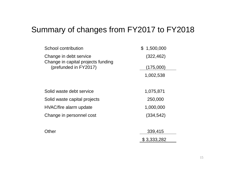### Summary of changes from FY2017 to FY2018

| School contribution                                          | \$1,500,000 |
|--------------------------------------------------------------|-------------|
| Change in debt service<br>Change in capital projects funding | (322, 462)  |
| (prefunded in FY2017)                                        | (175,000)   |
|                                                              | 1,002,538   |
| Solid waste debt service                                     | 1,075,871   |
| Solid waste capital projects                                 | 250,000     |
| HVAC/fire alarm update                                       | 1,000,000   |
| Change in personnel cost                                     | (334, 542)  |
| Other                                                        | 339,415     |
|                                                              | \$3,333,282 |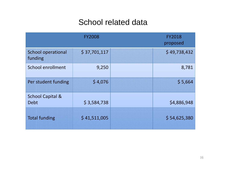## School related data

|                                            | <b>FY2008</b> | <b>FY2018</b><br>proposed |
|--------------------------------------------|---------------|---------------------------|
| <b>School operational</b><br>funding       | \$37,701,117  | \$49,738,432              |
| School enrollment                          | 9,250         | 8,781                     |
| Per student funding                        | \$4,076       | \$5,664                   |
| <b>School Capital &amp;</b><br><b>Debt</b> | \$3,584,738   | \$4,886,948               |
| <b>Total funding</b>                       | \$41,511,005  | \$54,625,380              |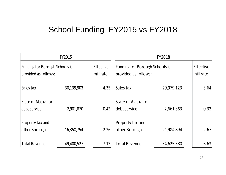## School Funding FY2015 vs FY2018

|                                                        | <b>FY2015</b> |                               |                                                        | <b>FY2018</b> |                               |
|--------------------------------------------------------|---------------|-------------------------------|--------------------------------------------------------|---------------|-------------------------------|
| Funding for Borough Schools is<br>provided as follows: |               | <b>Effective</b><br>mill rate | Funding for Borough Schools is<br>provided as follows: |               | <b>Effective</b><br>mill rate |
| Sales tax                                              | 30,139,903    | 4.35                          | Sales tax                                              | 29,979,123    | 3.64                          |
| State of Alaska for<br>debt service                    | 2,901,870     | 0.42                          | State of Alaska for<br>debt service                    | 2,661,363     | 0.32                          |
| Property tax and<br>other Borough                      | 16,358,754    | 2.36                          | Property tax and<br>other Borough                      | 21,984,894    | 2.67                          |
| <b>Total Revenue</b>                                   | 49,400,527    | 7.13                          | <b>Total Revenue</b>                                   | 54,625,380    | 6.63                          |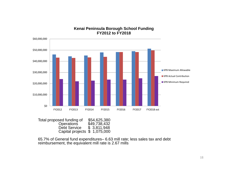

**Kenai Peninsula Borough School Funding FY2012 to FY2018**

Total proposed funding of \$54,625,380<br>Operations \$49,738,432<br>Debt Service \$ 3,811,948 Capital projects \$ 1,075,000

65.7% of General fund expenditures– 6.63 mill rate; less sales tax and debt reimbursement, the equivalent mill rate is 2.67 mills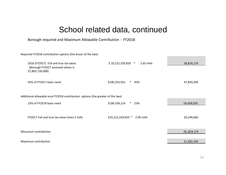### School related data, continued

#### Borough required and Maximum Allowable Contribution ‐ FY2018

| Required FY2018 contribution options (the lessor of the two)                                    |                                |             |
|-------------------------------------------------------------------------------------------------|--------------------------------|-------------|
| 2016 (FY2017) Full and true tax value<br>(Borough FY2017 assessed values is<br>\$7,803,726,000) | $$10,122,329,820$ * 2.65 mills | 26,824,174  |
| 45% of FY2017 basic need                                                                        | \$106,353,931<br>$*$ 45%       | 47,859,269  |
| Additional allowable local FY2018 contribution options (the greater of the two)                 |                                |             |
| 23% of FY2018 basic need                                                                        | \$106,339,216<br>$*$ 23%       | 24,458,020  |
| FY2017 Full and true tax value times 2 mills                                                    | \$10,122,329,820 * 2.00 mills  | 20,244,660  |
| Minumum contribution                                                                            |                                | 26,,824,174 |
| Maximum contribution                                                                            |                                | 51,282,194  |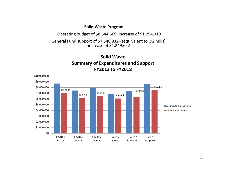#### **Solid Waste Program**

Operating budget of \$8,644,669, increase of \$1,254,310

General Fund support of \$7,548,932– (equivalent to .92 mills), increase of \$1,249,652



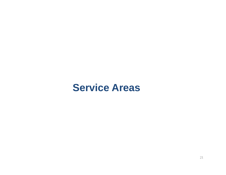# **Service Areas**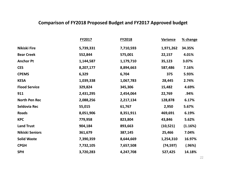#### **Comparison of FY2018 Proposed Budget and FY2017 Approved budget**

|                        | <b>FY2017</b> | <b>FY2018</b> | <b>Variance</b> | % change |
|------------------------|---------------|---------------|-----------------|----------|
| Nikiski Fire           | 5,739,331     | 7,710,593     | 1,971,262       | 34.35%   |
| <b>Bear Creek</b>      | 552,844       | 575,001       | 22,157          | 4.01%    |
| <b>Anchor Pt</b>       | 1,144,587     | 1,179,710     | 35,123          | 3.07%    |
| <b>CES</b>             | 8,207,177     | 8,894,663     | 587,486         | 7.16%    |
| <b>CPEMS</b>           | 6,329         | 6,704         | 375             | 5.93%    |
| <b>KESA</b>            | 1,039,338     | 1,067,783     | 28,445          | 2.74%    |
| <b>Flood Service</b>   | 329,824       | 345,306       | 15,482          | 4.69%    |
| 911                    | 2,431,295     | 2,454,064     | 22,769          | .94%     |
| <b>North Pen Rec</b>   | 2,088,256     | 2,217,134     | 128,878         | 6.17%    |
| Seldovia Rec           | 55,015        | 61,767        | 2,950           | 5.67%    |
| <b>Roads</b>           | 8,051,906     | 8,351,911     | 469,691         | 6.19%    |
| <b>KPC</b>             | 779,958       | 823,804       | 43,846          | 5.62%    |
| <b>Land Trust</b>      | 904,184       | 893,663       | (10, 521)       | (1.16%)  |
| <b>Nikiski Seniors</b> | 361,679       | 387,145       | 25,466          | 7.04%    |
| <b>Solid Waste</b>     | 7,390,359     | 8,644,669     | 1,254,310       | 16.97%   |
| <b>CPGH</b>            | 7,732,105     | 7,657,508     | (74, 597)       | (.96%)   |
| <b>SPH</b>             | 3,720,283     | 4,247,708     | 527,425         | 14.18%   |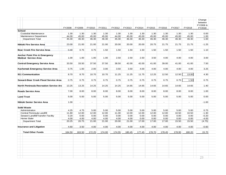| 1.30<br>45.00<br>46.30<br>21.00<br>0.75<br>1.00<br>37.50<br>2.00<br>10.70<br>0.75<br>14.25<br>8.00<br>5.00 | 1.30<br>1.30<br>45.00<br>44.00<br>46.30<br>45.30<br>21.00<br>20.00<br>1.50<br>1.50<br>1.00<br>2.50<br>37.50<br>38.50<br>3.00<br>3.50<br>10.70<br>11.25<br>0.75<br>0.75<br>14.25<br>14.25<br>8.00<br>8.00<br>5.00<br>5.00 | 1.30<br>45.00<br>46.30<br>20.00<br>1.50<br>2.50<br>42.00<br>3.50<br>11.25<br>0.75<br>14.65<br>8.00<br>5.00 | 1.30<br>45.00<br>46.30<br>20.00<br>1.50<br>2.50<br>42.00<br>4.00<br>11.75<br>0.75<br>14.65<br>8.00 | 1.30<br>45.00<br>46.30<br>20.75<br>1.50<br>3.50<br>41.00<br>4.00<br>12.25<br>0.75<br>14.65<br>8.00 | 1.30<br>45.00<br>46.30<br>21.75<br>1.50<br>4.00<br>39.00<br>4.00<br>12.50<br>0.75<br>14.65<br>8.00 | 1.30<br>45.00<br>46.30<br>21.75<br>1.50<br>4.00<br>41.00<br>4.00<br>12.50<br>0.75<br>14.65 | 1.30<br>45.00<br>46.30<br>21.75<br>1.50<br>4.00<br>41.00<br>4.00<br>13.00<br>1.50<br>14.65<br>8.00 | 0.00<br>1.00<br>1.00<br>$-1.25$<br>1.10<br>3.00<br>7.50<br>3.25<br>4.30<br>0.75<br>1.40<br>1.00 |
|------------------------------------------------------------------------------------------------------------|--------------------------------------------------------------------------------------------------------------------------------------------------------------------------------------------------------------------------|------------------------------------------------------------------------------------------------------------|----------------------------------------------------------------------------------------------------|----------------------------------------------------------------------------------------------------|----------------------------------------------------------------------------------------------------|--------------------------------------------------------------------------------------------|----------------------------------------------------------------------------------------------------|-------------------------------------------------------------------------------------------------|
|                                                                                                            |                                                                                                                                                                                                                          |                                                                                                            |                                                                                                    |                                                                                                    |                                                                                                    |                                                                                            |                                                                                                    |                                                                                                 |
|                                                                                                            |                                                                                                                                                                                                                          |                                                                                                            |                                                                                                    |                                                                                                    |                                                                                                    |                                                                                            |                                                                                                    |                                                                                                 |
|                                                                                                            |                                                                                                                                                                                                                          |                                                                                                            |                                                                                                    |                                                                                                    |                                                                                                    |                                                                                            |                                                                                                    |                                                                                                 |
|                                                                                                            |                                                                                                                                                                                                                          |                                                                                                            |                                                                                                    |                                                                                                    |                                                                                                    |                                                                                            |                                                                                                    |                                                                                                 |
|                                                                                                            |                                                                                                                                                                                                                          |                                                                                                            |                                                                                                    |                                                                                                    |                                                                                                    |                                                                                            |                                                                                                    |                                                                                                 |
|                                                                                                            |                                                                                                                                                                                                                          |                                                                                                            |                                                                                                    |                                                                                                    |                                                                                                    |                                                                                            |                                                                                                    |                                                                                                 |
|                                                                                                            |                                                                                                                                                                                                                          |                                                                                                            |                                                                                                    |                                                                                                    |                                                                                                    |                                                                                            |                                                                                                    |                                                                                                 |
|                                                                                                            |                                                                                                                                                                                                                          |                                                                                                            |                                                                                                    |                                                                                                    |                                                                                                    |                                                                                            |                                                                                                    |                                                                                                 |
|                                                                                                            |                                                                                                                                                                                                                          |                                                                                                            |                                                                                                    |                                                                                                    |                                                                                                    |                                                                                            |                                                                                                    |                                                                                                 |
|                                                                                                            |                                                                                                                                                                                                                          |                                                                                                            |                                                                                                    |                                                                                                    |                                                                                                    |                                                                                            |                                                                                                    |                                                                                                 |
|                                                                                                            |                                                                                                                                                                                                                          |                                                                                                            |                                                                                                    |                                                                                                    |                                                                                                    |                                                                                            |                                                                                                    |                                                                                                 |
|                                                                                                            |                                                                                                                                                                                                                          |                                                                                                            |                                                                                                    |                                                                                                    |                                                                                                    |                                                                                            |                                                                                                    |                                                                                                 |
|                                                                                                            |                                                                                                                                                                                                                          |                                                                                                            |                                                                                                    |                                                                                                    |                                                                                                    | 8.00                                                                                       |                                                                                                    |                                                                                                 |
|                                                                                                            |                                                                                                                                                                                                                          |                                                                                                            | 5.00                                                                                               | 5.00                                                                                               | 5.00                                                                                               | 5.00                                                                                       | 5.00                                                                                               | 0.00                                                                                            |
| $\overline{\phantom{a}}$                                                                                   | $\sim$<br>$\sim$                                                                                                                                                                                                         | $\overline{\phantom{a}}$                                                                                   | $\overline{\phantom{a}}$                                                                           | $\sim$                                                                                             | $\overline{\phantom{a}}$                                                                           | $\overline{\phantom{a}}$                                                                   | $\sim$                                                                                             | $-1.00$                                                                                         |
|                                                                                                            |                                                                                                                                                                                                                          |                                                                                                            |                                                                                                    |                                                                                                    |                                                                                                    |                                                                                            |                                                                                                    |                                                                                                 |
| 5.00                                                                                                       | 5.00<br>5.00                                                                                                                                                                                                             | 5.00                                                                                                       | 5.00                                                                                               | 5.00                                                                                               | 5.00                                                                                               | 5.00                                                                                       | 5.00                                                                                               | 0.75                                                                                            |
| 12.00                                                                                                      | 12.00<br>11.00                                                                                                                                                                                                           | 12.00                                                                                                      | 12.00                                                                                              | 12.00                                                                                              | 12.00                                                                                              | 10.50                                                                                      | 10.50                                                                                              | $-1.30$                                                                                         |
| 0.00                                                                                                       | 0.00<br>0.00                                                                                                                                                                                                             | 0.00                                                                                                       | 0.00                                                                                               | 0.00                                                                                               | 0.00                                                                                               | 0.00                                                                                       | 0.00                                                                                               | $-0.20$                                                                                         |
| 4.00                                                                                                       | 4.00<br>4.00                                                                                                                                                                                                             | 4.00                                                                                                       | 0.00                                                                                               | 0.00                                                                                               | 0.00                                                                                               | 0.00                                                                                       | 0.00                                                                                               | $-4.00$                                                                                         |
| 21.00                                                                                                      |                                                                                                                                                                                                                          | 21.00                                                                                                      | 17.00                                                                                              | 17.00                                                                                              | 17.00                                                                                              | 15.50                                                                                      | 15.50                                                                                              | (4.75)                                                                                          |
| 4.00                                                                                                       |                                                                                                                                                                                                                          | 4.00                                                                                                       | 4.00                                                                                               | 4.00                                                                                               | 4.00                                                                                               | 4.00                                                                                       | 4.00                                                                                               | $-0.60$                                                                                         |
| 172.25                                                                                                     |                                                                                                                                                                                                                          | 180.45                                                                                                     | 177.45                                                                                             | 178.70                                                                                             | 178.45                                                                                             | 178.95                                                                                     | 180.20                                                                                             | 15.70                                                                                           |
|                                                                                                            |                                                                                                                                                                                                                          | 21.00<br>4.00<br>174.00<br>174.55                                                                          | 20.00<br>4.00                                                                                      |                                                                                                    |                                                                                                    |                                                                                            |                                                                                                    |                                                                                                 |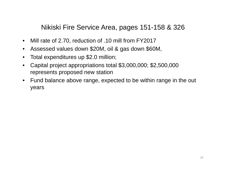### Nikiski Fire Service Area, pages 151-158 & 326

- $\bullet$ Mill rate of 2.70, reduction of .10 mill from FY2017
- $\bullet$ Assessed values down \$20M, oil & gas down \$60M,
- $\bullet$ Total expenditures up \$2.0 million;
- $\bullet$  Capital project appropriations total \$3,000,000; \$2,500,000 represents proposed new station
- $\bullet$  Fund balance above range, expected to be within range in the out years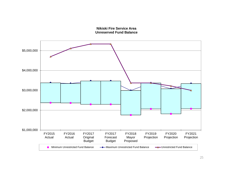**Nikiski Fire Service AreaUnreserved Fund Balance**

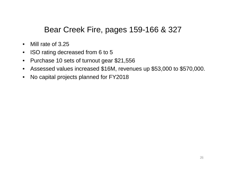### Bear Creek Fire, pages 159-166 & 327

- $\bullet$ Mill rate of 3.25
- $\bullet$ ISO rating decreased from 6 to 5
- $\bullet$ Purchase 10 sets of turnout gear \$21,556
- $\bullet$ Assessed values increased \$16M, revenues up \$53,000 to \$570,000.
- $\bullet$ No capital projects planned for FY2018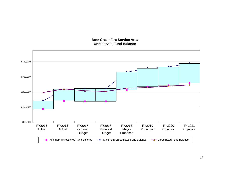#### **Bear Creek Fire Service AreaUnreserved Fund Balance**

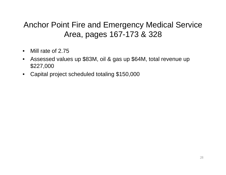## Anchor Point Fire and Emergency Medical Service Area, pages 167-173 & 328

- $\bullet$ Mill rate of 2.75
- • Assessed values up \$83M, oil & gas up \$64M, total revenue up \$227,000
- $\bullet$ Capital project scheduled totaling \$150,000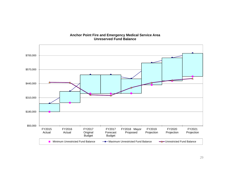#### **Anchor Point Fire and Emergency Medical Service Area Unreserved Fund Balance**

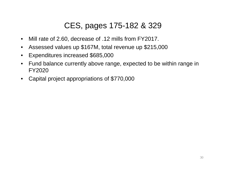## CES, pages 175-182 & 329

- $\bullet$ Mill rate of 2.60, decrease of .12 mills from FY2017.
- Assessed values up \$167M, total revenue up \$215,000
- $\bullet$ Expenditures increased \$685,000
- $\bullet$  Fund balance currently above range, expected to be within range in FY2020
- •Capital project appropriations of \$770,000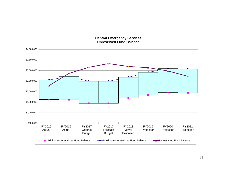#### **Central Emergency Services Unreserved Fund Balance**

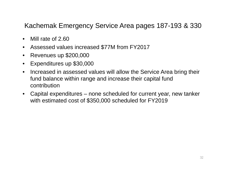### Kachemak Emergency Service Area pages 187-193 & 330

- $\bullet$ Mill rate of 2.60
- $\bullet$ Assessed values increased \$77M from FY2017
- $\bullet$ Revenues up \$200,000
- $\bullet$ Expenditures up \$30,000
- $\bullet$  Increased in assessed values will allow the Service Area bring their fund balance within range and increase their capital fund contribution
- $\bullet$  Capital expenditures – none scheduled for current year, new tanker with estimated cost of \$350,000 scheduled for FY2019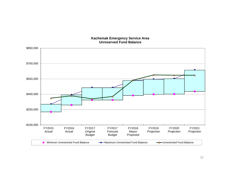#### **Kachemak Emergency Service Area Unreserved Fund Balance**

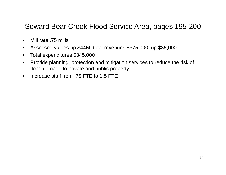### Seward Bear Creek Flood Service Area, pages 195-200

- $\bullet$ Mill rate .75 mills
- $\bullet$ Assessed values up \$44M, total revenues \$375,000, up \$35,000
- $\bullet$ Total expenditures \$345,000
- $\bullet$  Provide planning, protection and mitigation services to reduce the risk of flood damage to private and public property
- $\bullet$ Increase staff from .75 FTE to 1.5 FTE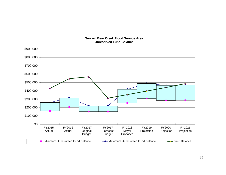#### **Seward Bear Creek Flood Service AreaUnreserved Fund Balance**

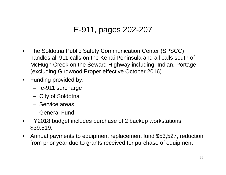## E-911, pages 202-207

- The Soldotna Public Safety Communication Center (SPSCC) handles all 911 calls on the Kenai Peninsula and all calls south of McHugh Creek on the Seward Highway including, Indian, Portage (excluding Girdwood Proper effective October 2016).
- Funding provided by:
	- e-911 surcharge
	- City of Soldotna
	- Service areas
	- General Fund
- FY2018 budget includes purchase of 2 backup workstations \$39,519.
- $\bullet$  Annual payments to equipment replacement fund \$53,527, reduction from prior year due to grants received for purchase of equipment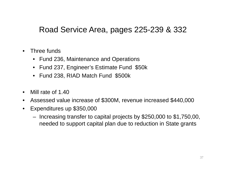### Road Service Area, pages 225-239 & 332

- • Three funds
	- Fund 236, Maintenance and Operations
	- Fund 237, Engineer's Estimate Fund \$50k
	- Fund 238, RIAD Match Fund \$500k
- •Mill rate of 1.40
- $\bullet$ Assessed value increase of \$300M, revenue increased \$440,000
- $\bullet$  Expenditures up \$350,000
	- Increasing transfer to capital projects by \$250,000 to \$1,750,00, needed to support capital plan due to reduction in State grants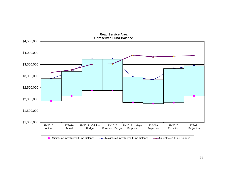

**Road Service Area**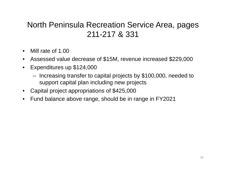## North Peninsula Recreation Service Area, pages 211-217 & 331

- $\bullet$ Mill rate of 1.00
- $\bullet$ Assessed value decrease of \$15M, revenue increased \$229,000
- $\bullet$  Expenditures up \$124,000
	- Increasing transfer to capital projects by \$100,000, needed to support capital plan including new projects
- $\bullet$ Capital project appropriations of \$425,000
- $\bullet$ Fund balance above range, should be in range in FY2021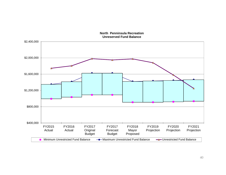

#### **North Penninsula Recreation Unreserved Fund Balance**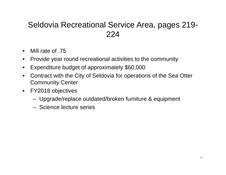## Seldovia Recreational Service Area, pages 219- 224

- $\bullet$ Mill rate of .75
- $\bullet$ Provide year round recreational activities to the community
- $\bullet$ Expenditure budget of approximately \$60,000
- $\bullet$  Contract with the City of Seldovia for operations of the Sea Otter Community Center
- FY2018 objectives
	- Upgrade/replace outdated/broken furniture & equipment
	- Science lecture series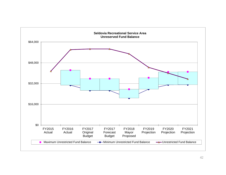![](_page_41_Figure_0.jpeg)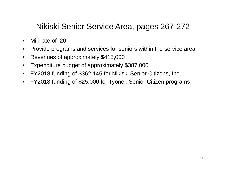## Nikiski Senior Service Area, pages 267-272

- $\bullet$ Mill rate of .20
- $\bullet$ Provide programs and services for seniors within the service area
- $\bullet$ Revenues of approximately \$415,000
- $\bullet$ Expenditure budget of approximately \$387,000
- FY2018 funding of \$362,145 for Nikiski Senior Citizens, Inc
- $\bullet$ FY2018 funding of \$25,000 for Tyonek Senior Citizen programs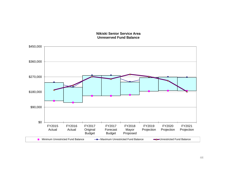#### **Nikiski Senior Service AreaUnreserved Fund Balance**

![](_page_43_Figure_1.jpeg)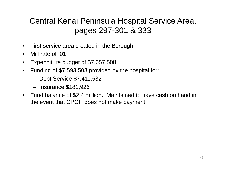## Central Kenai Peninsula Hospital Service Area, pages 297-301 & 333

- First service area created in the Borough
- $\bullet$ Mill rate of .01
- Expenditure budget of \$7,657,508
- Funding of \$7,593,508 provided by the hospital for:
	- Debt Service \$7,411,582
	- Insurance \$181,926
- Fund balance of \$2.4 million. Maintained to have cash on hand in the event that CPGH does not make payment.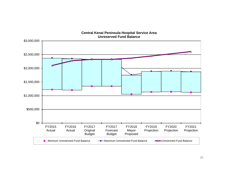![](_page_45_Figure_0.jpeg)

**Central Kenai Peninsula Hospital Service Area**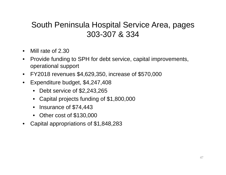## South Peninsula Hospital Service Area, pages 303-307 & 334

- $\bullet$ Mill rate of 2.30
- • Provide funding to SPH for debt service, capital improvements, operational support
- FY2018 revenues \$4,629,350, increase of \$570,000
- Expenditure budget, \$4,247,408
	- Debt service of \$2,243,265
	- Capital projects funding of \$1,800,000
	- Insurance of \$74,443
	- Other cost of \$130,000
- •Capital appropriations of \$1,848,283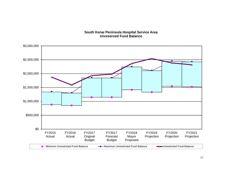#### **South Kenai Peninsula Hospital Service Area Unreserved Fund Balance**

![](_page_47_Figure_1.jpeg)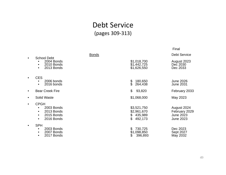### Debt Service (pages 309‐313)

|           |                                                                                                    | <b>Bonds</b>                                                 | <b>Debt Service</b>                                                  |
|-----------|----------------------------------------------------------------------------------------------------|--------------------------------------------------------------|----------------------------------------------------------------------|
| $\bullet$ | <b>School Debt</b><br>2004 Bonds<br>٠<br>2010 Bonds<br>$\bullet$<br>2013 Bonds<br>$\bullet$        | \$1,018,700<br>\$1,442,725<br>\$1,626,550                    | August 2023<br>Dec 2030<br>Dec 2033                                  |
| $\bullet$ | <b>CES</b><br>2006 bonds<br>2016 bonds<br>٠                                                        | 180,650<br>\$<br>\$<br>264,438                               | <b>June 2026</b><br><b>June 2031</b>                                 |
|           | <b>Bear Creek Fire</b>                                                                             | \$<br>93,820                                                 | February 2033                                                        |
| $\bullet$ | <b>Solid Waste</b>                                                                                 | \$1,068,000                                                  | May 2023                                                             |
| $\bullet$ | <b>CPGH</b><br>2003 Bonds<br>2013 Bonds<br>$\bullet$<br>2015 Bonds<br>$\bullet$<br>2016 Bonds<br>٠ | \$3,521,750<br>\$2,961,670<br>435,989<br>\$<br>\$<br>492,173 | August 2024<br>February 2029<br><b>June 2023</b><br><b>June 2023</b> |
|           | <b>SPH</b><br>2003 Bonds<br>2007 Bonds<br>2017 Bonds<br>$\bullet$                                  | 730,725<br>\$1,098,850<br>396,893                            | Dec 2023<br>Sept 2027<br>May 2032                                    |

Final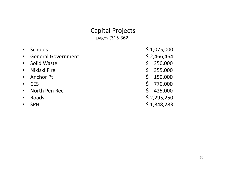#### Capital Projects pages (315‐362)

|           | <b>Schools</b>            | \$1,075,000             |
|-----------|---------------------------|-------------------------|
|           | <b>General Government</b> | \$2,466,464             |
| $\bullet$ | <b>Solid Waste</b>        | 350,000<br>S.           |
|           | Nikiski Fire              | 355,000<br>S.           |
|           | <b>Anchor Pt</b>          | 150,000<br>$\mathsf{S}$ |
|           | <b>CES</b>                | 770,000<br>$\mathsf{S}$ |
|           | North Pen Rec             | 425,000<br>Ś.           |
|           | Roads                     | \$2,295,250             |
|           | <b>SPH</b>                | \$1,848,283             |